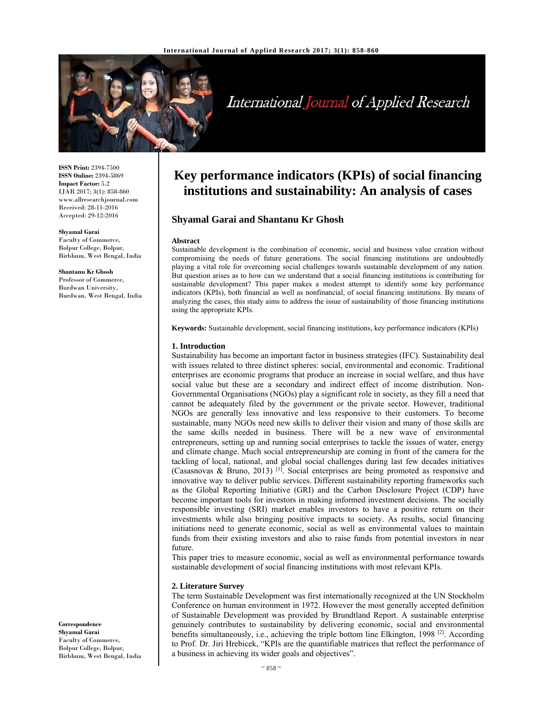

# International Journal of Applied Research

**ISSN Print:** 2394-7500 **ISSN Online:** 2394-5869 **Impact Factor:** 5.2 IJAR 2017; 3(1): 858-860 www.allresearchjournal.com Received: 28-11-2016 Accepted: 29-12-2016

#### **Shyamal Garai**

Faculty of Commerce, Bolpur College, Bolpur, Birbhum, West Bengal, India

**Shantanu Kr Ghosh**  Professor of Commerce, Burdwan University, Burdwan, West Bengal, India

**Correspondence Shyamal Garai**  Faculty of Commerce, Bolpur College, Bolpur, Birbhum, West Bengal, India

# **Key performance indicators (KPIs) of social financing institutions and sustainability: An analysis of cases**

# **Shyamal Garai and Shantanu Kr Ghosh**

#### **Abstract**

Sustainable development is the combination of economic, social and business value creation without compromising the needs of future generations. The social financing institutions are undoubtedly playing a vital role for overcoming social challenges towards sustainable development of any nation. But question arises as to how can we understand that a social financing institutions is contributing for sustainable development? This paper makes a modest attempt to identify some key performance indicators (KPIs), both financial as well as nonfinancial, of social financing institutions. By means of analyzing the cases, this study aims to address the issue of sustainability of those financing institutions using the appropriate KPIs.

**Keywords:** Sustainable development, social financing institutions, key performance indicators (KPIs)

#### **1. Introduction**

Sustainability has become an important factor in business strategies (IFC). Sustainability deal with issues related to three distinct spheres: social, environmental and economic. Traditional enterprises are economic programs that produce an increase in social welfare, and thus have social value but these are a secondary and indirect effect of income distribution. Non-Governmental Organisations (NGOs) play a significant role in society, as they fill a need that cannot be adequately filed by the government or the private sector. However, traditional NGOs are generally less innovative and less responsive to their customers. To become sustainable, many NGOs need new skills to deliver their vision and many of those skills are the same skills needed in business. There will be a new wave of environmental entrepreneurs, setting up and running social enterprises to tackle the issues of water, energy and climate change. Much social entrepreneurship are coming in front of the camera for the tackling of local, national, and global social challenges during last few decades initiatives (Casasnovas & Bruno, 2013)  $^{[1]}$ . Social enterprises are being promoted as responsive and innovative way to deliver public services. Different sustainability reporting frameworks such as the Global Reporting Initiative (GRI) and the Carbon Disclosure Project (CDP) have become important tools for investors in making informed investment decisions. The socially responsible investing (SRI) market enables investors to have a positive return on their investments while also bringing positive impacts to society. As results, social financing initiations need to generate economic, social as well as environmental values to maintain funds from their existing investors and also to raise funds from potential investors in near future.

This paper tries to measure economic, social as well as environmental performance towards sustainable development of social financing institutions with most relevant KPIs.

# **2. Literature Survey**

The term Sustainable Development was first internationally recognized at the UN Stockholm Conference on human environment in 1972. However the most generally accepted definition of Sustainable Development was provided by Brundtland Report. A sustainable enterprise genuinely contributes to sustainability by delivering economic, social and environmental benefits simultaneously, i.e., achieving the triple bottom line Elkington, 1998<sup>[2]</sup>. According to Prof. Dr. Jiri Hrebicek, "KPIs are the quantifiable matrices that reflect the performance of a business in achieving its wider goals and objectives".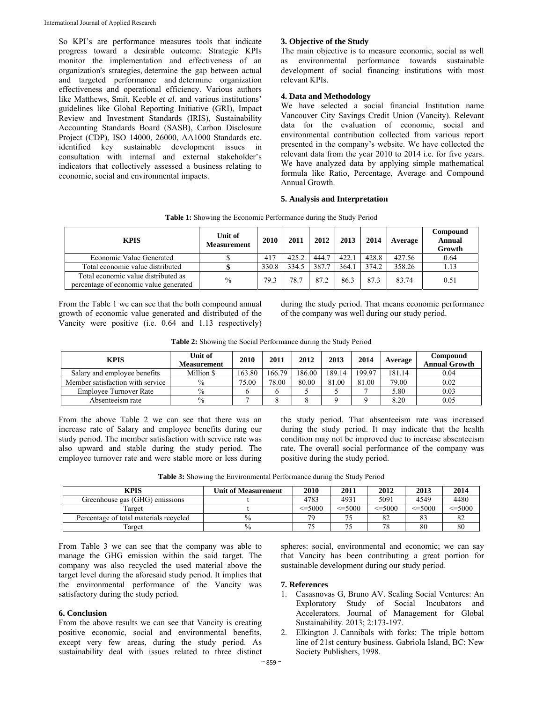So KPI's are performance measures tools that indicate progress toward a desirable outcome. Strategic KPIs monitor the implementation and effectiveness of an organization's strategies, determine the gap between actual and targeted performance and determine organization effectiveness and operational efficiency. Various authors like Matthews, Smit, Keeble *et al*. and various institutions' guidelines like Global Reporting Initiative (GRI), Impact Review and Investment Standards (IRIS), Sustainability Accounting Standards Board (SASB), Carbon Disclosure Project (CDP), ISO 14000, 26000, AA1000 Standards etc. identified key sustainable development issues in consultation with internal and external stakeholder's indicators that collectively assessed a business relating to economic, social and environmental impacts.

# **3. Objective of the Study**

The main objective is to measure economic, social as well as environmental performance towards sustainable development of social financing institutions with most relevant KPIs.

### **4. Data and Methodology**

We have selected a social financial Institution name Vancouver City Savings Credit Union (Vancity). Relevant data for the evaluation of economic, social and environmental contribution collected from various report presented in the company's website. We have collected the relevant data from the year 2010 to 2014 i.e. for five years. We have analyzed data by applying simple mathematical formula like Ratio, Percentage, Average and Compound Annual Growth.

#### **5. Analysis and Interpretation**

| <b>KPIS</b>                                                                   | Unit of<br><b>Measurement</b> | 2010  | 2011  | 2012  | 2013  | 2014  | Average | Compound<br><b>Annual</b><br>Growth |
|-------------------------------------------------------------------------------|-------------------------------|-------|-------|-------|-------|-------|---------|-------------------------------------|
| Economic Value Generated                                                      |                               | 417   | 425.2 | 444.7 | 422.1 | 428.8 | 427.56  | 0.64                                |
| Total economic value distributed                                              |                               | 330.8 | 334.5 | 387.7 | 364.1 | 374.2 | 358.26  | 1.13                                |
| Total economic value distributed as<br>percentage of economic value generated | $\%$                          | 79.3  | 78.7  | 87.2  | 86.3  | 87.3  | 83.74   | 0.51                                |

**Table 1:** Showing the Economic Performance during the Study Period

From the Table 1 we can see that the both compound annual growth of economic value generated and distributed of the Vancity were positive (i.e. 0.64 and 1.13 respectively) during the study period. That means economic performance of the company was well during our study period.

| Table 2: Showing the Social Performance during the Study Period |
|-----------------------------------------------------------------|
|-----------------------------------------------------------------|

| <b>KPIS</b>                      | Unit of<br><b>Measurement</b> | 2010   | 2011   | 2012   | 2013   | 2014   | Average | Compound<br><b>Annual Growth</b> |
|----------------------------------|-------------------------------|--------|--------|--------|--------|--------|---------|----------------------------------|
| Salary and employee benefits     | Million \$                    | 163.80 | 166.79 | 186.00 | 189.14 | 199.97 | 181.14  | 0.04                             |
| Member satisfaction with service | $\%$                          | 75.00  | 78.00  | 80.00  | 81.00  | 81.00  | 79.00   | 0.02                             |
| Employee Turnover Rate           | $\frac{0}{0}$                 |        |        |        |        |        | 5.80    | 0.03                             |
| Absenteeism rate                 | $\%$                          |        |        |        |        |        | 8.20    | 0.05                             |

From the above Table 2 we can see that there was an increase rate of Salary and employee benefits during our study period. The member satisfaction with service rate was also upward and stable during the study period. The employee turnover rate and were stable more or less during the study period. That absenteeism rate was increased during the study period. It may indicate that the health condition may not be improved due to increase absenteeism rate. The overall social performance of the company was positive during the study period.

**Table 3:** Showing the Environmental Performance during the Study Period

| KPIS                                   | <b>Unit of Measurement</b> | 2010         | 2011        | 2012         | 2013         | 2014           |
|----------------------------------------|----------------------------|--------------|-------------|--------------|--------------|----------------|
| Greenhouse gas (GHG) emissions         |                            | 4783         | 4931        | 5091         | 4549         | 4480           |
| Target                                 |                            | $\leq$ =5000 | $\leq 5000$ | $\leq$ =5000 | $\leq$ =5000 | $\leq 5000$    |
| Percentage of total materials recycled | $\%$                       | 70           |             | 82           | 83           | $\Omega$<br>o∠ |
| Target                                 | $\frac{0}{0}$              |              |             | 70           | 80           | 80             |

From Table 3 we can see that the company was able to manage the GHG emission within the said target. The company was also recycled the used material above the target level during the aforesaid study period. It implies that the environmental performance of the Vancity was satisfactory during the study period.

# **6. Conclusion**

From the above results we can see that Vancity is creating positive economic, social and environmental benefits, except very few areas, during the study period. As sustainability deal with issues related to three distinct

spheres: social, environmental and economic; we can say that Vancity has been contributing a great portion for sustainable development during our study period.

## **7. References**

- 1. Casasnovas G, Bruno AV. Scaling Social Ventures: An Exploratory Study of Social Incubators and Accelerators. Journal of Management for Global Sustainability. 2013; 2:173-197.
- 2. Elkington J. Cannibals with forks: The triple bottom line of 21st century business. Gabriola Island, BC: New Society Publishers, 1998.